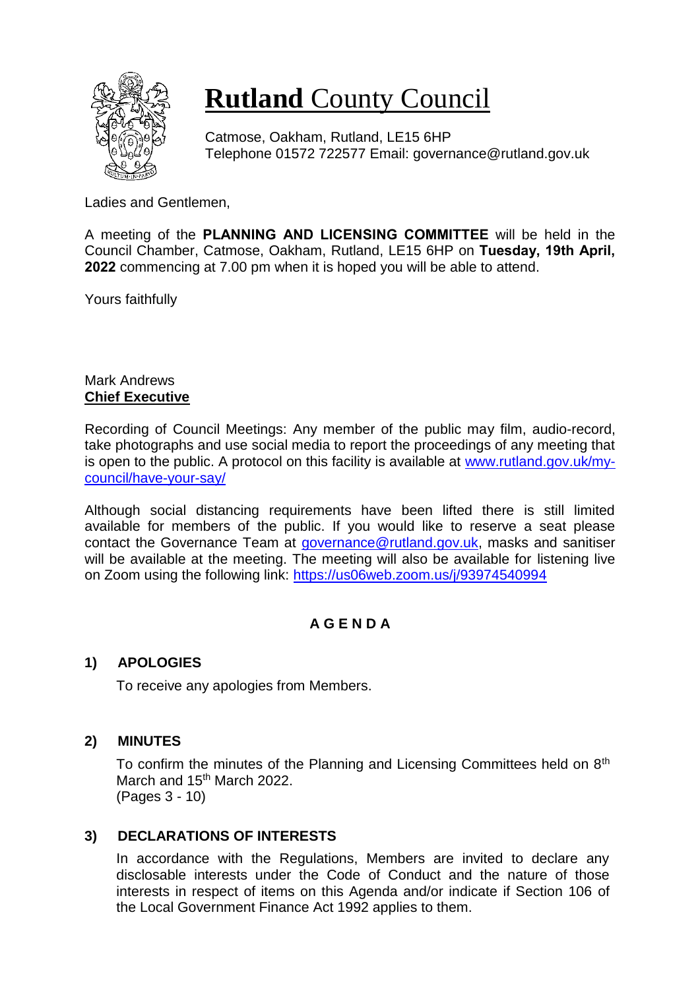

# **Rutland** County Council

Catmose, Oakham, Rutland, LE15 6HP Telephone 01572 722577 Email: governance@rutland.gov.uk

Ladies and Gentlemen,

A meeting of the **PLANNING AND LICENSING COMMITTEE** will be held in the Council Chamber, Catmose, Oakham, Rutland, LE15 6HP on **Tuesday, 19th April, 2022** commencing at 7.00 pm when it is hoped you will be able to attend.

Yours faithfully

## Mark Andrews **Chief Executive**

Recording of Council Meetings: Any member of the public may film, audio-record, take photographs and use social media to report the proceedings of any meeting that is open to the public. A protocol on this facility is available at [www.rutland.gov.uk/my](http://www.rutland.gov.uk/my-council/have-your-say/)[council/have-your-say/](http://www.rutland.gov.uk/my-council/have-your-say/)

Although social distancing requirements have been lifted there is still limited available for members of the public. If you would like to reserve a seat please contact the Governance Team at [governance@rutland.gov.uk,](mailto:governance@rutland.gov.uk) masks and sanitiser will be available at the meeting. The meeting will also be available for listening live on Zoom using the following link:<https://us06web.zoom.us/j/93974540994>

# **A G E N D A**

# **1) APOLOGIES**

To receive any apologies from Members.

# **2) MINUTES**

To confirm the minutes of the Planning and Licensing Committees held on 8<sup>th</sup> March and 15<sup>th</sup> March 2022. (Pages 3 - 10)

### **3) DECLARATIONS OF INTERESTS**

In accordance with the Regulations, Members are invited to declare any disclosable interests under the Code of Conduct and the nature of those interests in respect of items on this Agenda and/or indicate if Section 106 of the Local Government Finance Act 1992 applies to them.